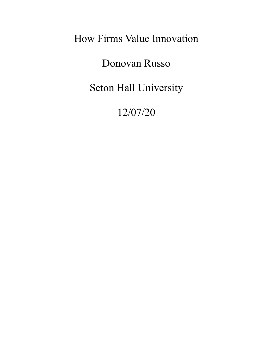How Firms Value Innovation

Donovan Russo

Seton Hall University

12/07/20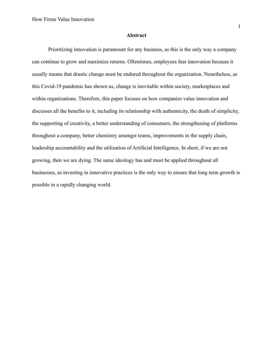#### **Abstract**

Prioritizing innovation is paramount for any business, as this is the only way a company can continue to grow and maximize returns. Oftentimes, employees fear innovation because it usually means that drastic change must be endured throughout the organization. Nonetheless, as this Covid-19 pandemic has shown us, change is inevitable within society, marketplaces and within organizations. Therefore, this paper focuses on how companies value innovation and discusses all the benefits to it, including its relationship with authenticity, the death of simplicity, the supporting of creativity, a better understanding of consumers, the strengthening of platforms throughout a company, better chemistry amongst teams, improvements in the supply chain, leadership accountability and the utilization of Artificial Intelligence. In short, if we are not growing, then we are dying. The same ideology has and must be applied throughout all businesses, as investing in innovative practices is the only way to ensure that long term growth is possible in a rapidly changing world.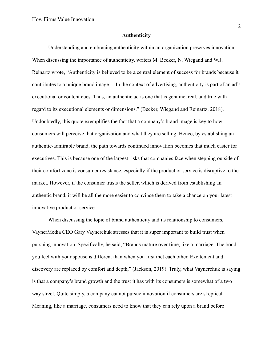#### **Authenticity**

Understanding and embracing authenticity within an organization preserves innovation. When discussing the importance of authenticity, writers M. Becker, N. Wiegand and W.J. Reinartz wrote, "Authenticity is believed to be a central element of success for brands because it contributes to a unique brand image… In the context of advertising, authenticity is part of an ad's executional or content cues. Thus, an authentic ad is one that is genuine, real, and true with regard to its executional elements or dimensions," (Becker, Wiegand and Reinartz, 2018). Undoubtedly, this quote exemplifies the fact that a company's brand image is key to how consumers will perceive that organization and what they are selling. Hence, by establishing an authentic-admirable brand, the path towards continued innovation becomes that much easier for executives. This is because one of the largest risks that companies face when stepping outside of their comfort zone is consumer resistance, especially if the product or service is disruptive to the market. However, if the consumer trusts the seller, which is derived from establishing an authentic brand, it will be all the more easier to convince them to take a chance on your latest innovative product or service.

When discussing the topic of brand authenticity and its relationship to consumers, VaynerMedia CEO Gary Vaynerchuk stresses that it is super important to build trust when pursuing innovation. Specifically, he said, "Brands mature over time, like a marriage. The bond you feel with your spouse is different than when you first met each other. Excitement and discovery are replaced by comfort and depth," (Jackson, 2019). Truly, what Vaynerchuk is saying is that a company's brand growth and the trust it has with its consumers is somewhat of a two way street. Quite simply, a company cannot pursue innovation if consumers are skeptical. Meaning, like a marriage, consumers need to know that they can rely upon a brand before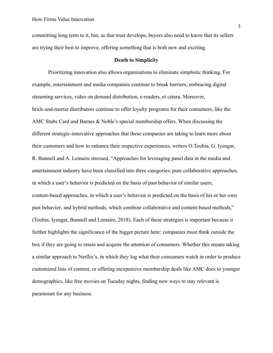committing long term to it, but, as that trust develops, buyers also need to know that its sellers are trying their best to improve, offering something that is both new and exciting.

## **Death to Simplicity**

Prioritizing innovation also allows organizations to eliminate simplistic thinking. For example, entertainment and media companies continue to break barriers, embracing digital streaming services, video on demand distribution, e-readers, et cetera. Moreover, brick-and-mortar distributors continue to offer loyalty programs for their consumers, like the AMC Stubs Card and Barnes & Noble's special membership offers. When discussing the different strategic-innovative approaches that these companies are taking to learn more about their customers and how to enhance their respective experiences, writers O.Toubia, G. Iyengar, R. Bunnell and A. Lemaire stressed, "Approaches for leveraging panel data in the media and entertainment industry have been classified into three categories: pure collaborative approaches, in which a user's behavior is predicted on the basis of past behavior of similar users; content-based approaches, in which a user's behavior is predicted on the basis of his or her own past behavior; and hybrid methods, which combine collaborative and content-based methods," (Toubia, Iyengar, Bunnell and Lemaire, 2018). Each of these strategies is important because it further highlights the significance of the bigger picture here: companies must think outside the box if they are going to retain and acquire the attention of consumers. Whether this means taking a similar approach to Netflix's, in which they log what their consumers watch in order to produce customized lists of content, or offering inexpensive membership deals like AMC does to younger demographics, like free movies on Tuesday nights, finding new ways to stay relevant is paramount for any business.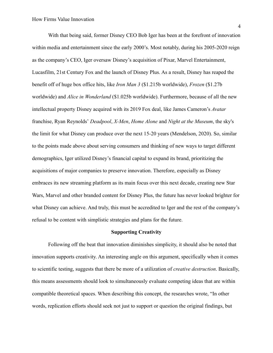With that being said, former Disney CEO Bob Iger has been at the forefront of innovation within media and entertainment since the early 2000's. Most notably, during his 2005-2020 reign as the company's CEO, Iger oversaw Disney's acquisition of Pixar, Marvel Entertainment, Lucasfilm, 21st Century Fox and the launch of Disney Plus. As a result, Disney has reaped the benefit off of huge box office hits, like *Iron Man 3* (\$1.215b worldwide), *Frozen* (\$1.27b worldwide) and *Alice in Wonderland* (\$1.025b worldwide). Furthermore, because of all the new intellectual property Disney acquired with its 2019 Fox deal, like James Cameron's *Avatar* franchise, Ryan Reynolds' *Deadpool*, *X-Men*, *Home Alone* and *Night at the Museum*, the sky's the limit for what Disney can produce over the next 15-20 years (Mendelson, 2020). So, similar to the points made above about serving consumers and thinking of new ways to target different demographics, Iger utilized Disney's financial capital to expand its brand, prioritizing the acquisitions of major companies to preserve innovation. Therefore, especially as Disney embraces its new streaming platform as its main focus over this next decade, creating new Star Wars, Marvel and other branded content for Disney Plus, the future has never looked brighter for what Disney can achieve. And truly, this must be accredited to Iger and the rest of the company's refusal to be content with simplistic strategies and plans for the future.

#### **Supporting Creativity**

Following off the beat that innovation diminishes simplicity, it should also be noted that innovation supports creativity. An interesting angle on this argument, specifically when it comes to scientific testing, suggests that there be more of a utilization of *creative destruction*. Basically, this means assessments should look to simultaneously evaluate competing ideas that are within compatible theoretical spaces. When describing this concept, the researches wrote, "In other words, replication efforts should seek not just to support or question the original findings, but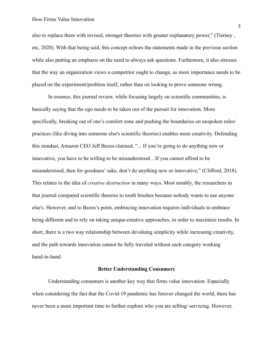## How Firms Value Innovation

also to replace them with revised, stronger theories with greater explanatory power," (Tierney , etc, 2020). With that being said, this concept echoes the statements made in the previous section while also putting an emphasis on the need to always ask questions. Furthemore, it also stresses that the way an organization views a competitor ought to change, as more importance needs to be placed on the experiment/problem itself, rather than on looking to prove someone wrong.

In essence, this journal review, while focusing largely on scientific communities, is basically saying that the ego needs to be taken out of the pursuit for innovation. More specifically, breaking out of one's comfort zone and pushing the boundaries on unspoken rules/ practices (like diving into someone else's scientific theories) enables more creativity. Defending this mindset, Amazon CEO Jeff Bezos claimed, "... If you're going to do anything new or innovative, you have to be willing to be misunderstood…If you cannot afford to be misunderstood, then for goodness' sake, don't do anything new or innovative," (Clifford, 2018). This relates to the idea of *creative destruction* in many ways. Most notably, the researchers in that journal compared scientific theories to tooth brushes because nobody wants to use anyone else's. However, and to Bezos's point, embracing innovation requires individuals to embrace being different and to rely on taking unique-creative approaches, in order to maximize results. In short, there is a two way relationship between devaluing simplicity while increasing creativity, and the path towards innovation cannot be fully traveled without each category working hand-in-hand.

## **Better Understanding Consumers**

Understanding consumers is another key way that firms value innovation. Especially when considering the fact that the Covid-19 pandemic has forever changed the world, there has never been a more important time to further explore who you are selling/ servicing. However,

5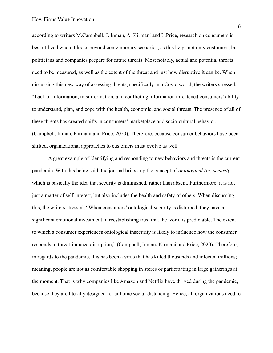according to writers M.Campbell, J. Inman, A. Kirmani and L.Price, research on consumers is best utilized when it looks beyond contemporary scenarios, as this helps not only customers, but politicians and companies prepare for future threats. Most notably, actual and potential threats need to be measured, as well as the extent of the threat and just how disruptive it can be. When discussing this new way of assessing threats, specifically in a Covid world, the writers stressed, "Lack of information, misinformation, and conflicting information threatened consumers' ability to understand, plan, and cope with the health, economic, and social threats. The presence of all of these threats has created shifts in consumers' marketplace and socio-cultural behavior," (Campbell, Inman, Kirmani and Price, 2020). Therefore, because consumer behaviors have been shifted, organizational approaches to customers must evolve as well.

A great example of identifying and responding to new behaviors and threats is the current pandemic. With this being said, the journal brings up the concept of *ontological (in) security,* which is basically the idea that security is diminished, rather than absent. Furthermore, it is not just a matter of self-interest, but also includes the health and safety of others. When discussing this, the writers stressed, "When consumers' ontological security is disturbed, they have a significant emotional investment in reestablishing trust that the world is predictable. The extent to which a consumer experiences ontological insecurity is likely to influence how the consumer responds to threat-induced disruption," (Campbell, Inman, Kirmani and Price, 2020). Therefore, in regards to the pandemic, this has been a virus that has killed thousands and infected millions; meaning, people are not as comfortable shopping in stores or participating in large gatherings at the moment. That is why companies like Amazon and Netflix have thrived during the pandemic, because they are literally designed for at home social-distancing. Hence, all organizations need to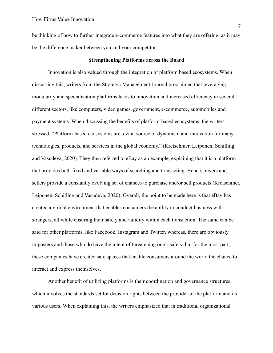be thinking of how to further integrate e-commerce features into what they are offering, as it may be the difference maker between you and your competitor.

# **Strengthening Platforms across the Board**

Innovation is also valued through the integration of platform based ecosystems. When discussing this, writers from the Strategic Management Journal proclaimed that leveraging modularity and specialization platforms leads to innovation and increased efficiency in several different sectors, like computers, video games, government, e-commerce, automobiles and payment systems. When discussing the benefits of platform-based ecosystems, the writers stressed, "Platform-based ecosystems are a vital source of dynamism and innovation for many technologies, products, and services in the global economy," (Kretschmer, Leiponen, Schilling and Vasudeva, 2020). They then referred to eBay as an example, explaining that it is a platform that provides both fixed and variable ways of searching and transacting. Hence, buyers and sellers provide a constantly evolving set of chances to purchase and/or sell products (Kretschmer, Leiponen, Schilling and Vasudeva, 2020). Overall, the point to be made here is that eBay has created a virtual environment that enables consumers the ability to conduct business with strangers, all while ensuring their safety and validity within each transaction. The same can be said for other platforms, like Facebook, Instagram and Twitter, whereas, there are obviously imposters and those who do have the intent of threatening one's safety, but for the most part, these companies have created safe spaces that enable consumers around the world the chance to interact and express themselves.

Another benefit of utilizing platforms is their coordination and governance structures, which involves the standards set for decision rights between the provider of the platform and its various users. When explaining this, the writers emphasized that in traditional organizational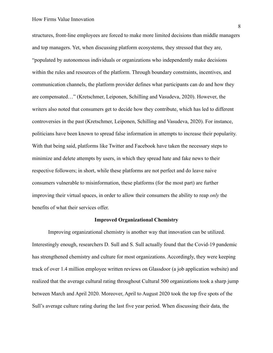structures, front-line employees are forced to make more limited decisions than middle managers and top managers. Yet, when discussing platform ecosystems, they stressed that they are, "populated by autonomous individuals or organizations who independently make decisions within the rules and resources of the platform. Through boundary constraints, incentives, and communication channels, the platform provider defines what participants can do and how they are compensated…" (Kretschmer, Leiponen, Schilling and Vasudeva, 2020). However, the writers also noted that consumers get to decide how they contribute, which has led to different controversies in the past (Kretschmer, Leiponen, Schilling and Vasudeva, 2020). For instance, politicians have been known to spread false information in attempts to increase their popularity. With that being said, platforms like Twitter and Facebook have taken the necessary steps to minimize and delete attempts by users, in which they spread hate and fake news to their respective followers; in short, while these platforms are not perfect and do leave naive consumers vulnerable to misinformation, these platforms (for the most part) are further improving their virtual spaces, in order to allow their consumers the ability to reap *only* the benefits of what their services offer.

## **Improved Organizational Chemistry**

Improving organizational chemistry is another way that innovation can be utilized. Interestingly enough, researchers D. Sull and S. Sull actually found that the Covid-19 pandemic has strengthened chemistry and culture for most organizations. Accordingly, they were keeping track of over 1.4 million employee written reviews on Glassdoor (a job application website) and realized that the average cultural rating throughout Cultural 500 organizations took a sharp jump between March and April 2020. Moreover, April to August 2020 took the top five spots of the Sull's average culture rating during the last five year period. When discussing their data, the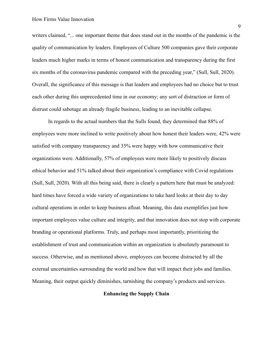writers claimed, "... one important theme that does stand out in the months of the pandemic is the quality of communication by leaders. Employees of Culture 500 companies gave their corporate leaders much higher marks in terms of honest communication and transparency during the first six months of the coronavirus pandemic compared with the preceding year," (Sull, Sull, 2020). Overall, the significance of this message is that leaders and employees had no choice but to trust each other during this unprecedented time in our economy; any sort of distraction or form of distrust could sabotage an already fragile business, leading to an inevitable collapse.

In regards to the actual numbers that the Sulls found, they determined that 88% of employees were more inclined to write positively about how honest their leaders were, 42% were satisfied with company transparency and 35% were happy with how communicative their organizations were. Additionally, 57% of employees were more likely to positively discuss ethical behavior and 51% talked about their organization's compliance with Covid regulations (Sull, Sull, 2020). With all this being said, there is clearly a pattern here that must be analyzed: hard times have forced a wide variety of organizations to take hard looks at their day to day cultural operations in order to keep business afloat. Meaning, this data exemplifies just how important employees value culture and integrity, and that innovation does not stop with corporate branding or operational platforms. Truly, and perhaps most importantly, prioritizing the establishment of trust and communication within an organization is absolutely paramount to success. Otherwise, and as mentioned above, employees can become distracted by all the external uncertainties surrounding the world and how that will impact their jobs and families. Meaning, their output quickly diminishes, tarnishing the company's products and services.

# **Enhancing the Supply Chain**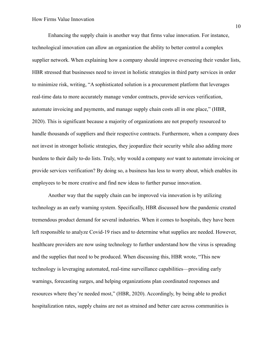Enhancing the supply chain is another way that firms value innovation. For instance, technological innovation can allow an organization the ability to better control a complex supplier network. When explaining how a company should improve overseeing their vendor lists, HBR stressed that businesses need to invest in holistic strategies in third party services in order to minimize risk, writing, "A sophisticated solution is a procurement platform that leverages real-time data to more accurately manage vendor contracts, provide services verification, automate invoicing and payments, and manage supply chain costs all in one place," (HBR, 2020). This is significant because a majority of organizations are not properly resourced to handle thousands of suppliers and their respective contracts. Furthermore, when a company does not invest in stronger holistic strategies, they jeopardize their security while also adding more burdens to their daily to-do lists. Truly, why would a company *not* want to automate invoicing or provide services verification? By doing so, a business has less to worry about, which enables its employees to be more creative and find new ideas to further pursue innovation.

Another way that the supply chain can be improved via innovation is by utilizing technology as an early warning system. Specifically, HBR discussed how the pandemic created tremendous product demand for several industries. When it comes to hospitals, they have been left responsible to analyze Covid-19 rises and to determine what supplies are needed. However, healthcare providers are now using technology to further understand how the virus is spreading and the supplies that need to be produced. When discussing this, HBR wrote, "This new technology is leveraging automated, real-time surveillance capabilities—providing early warnings, forecasting surges, and helping organizations plan coordinated responses and resources where they're needed most," (HBR, 2020). Accordingly, by being able to predict hospitalization rates, supply chains are not as strained and better care across communities is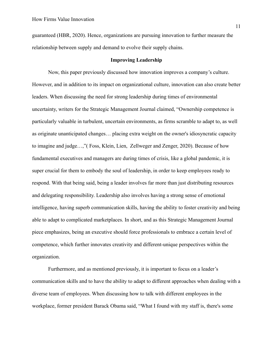guaranteed (HBR, 2020). Hence, organizations are pursuing innovation to further measure the relationship between supply and demand to evolve their supply chains.

## **Improving Leadership**

Now, this paper previously discussed how innovation improves a company's culture. However, and in addition to its impact on organizational culture, innovation can also create better leaders. When discussing the need for strong leadership during times of environmental uncertainty, writers for the Strategic Management Journal claimed, "Ownership competence is particularly valuable in turbulent, uncertain environments, as firms scramble to adapt to, as well as originate unanticipated changes… placing extra weight on the owner's idiosyncratic capacity to imagine and judge…,"( Foss, Klein, Lien, Zellweger and Zenger, 2020). Because of how fundamental executives and managers are during times of crisis, like a global pandemic, it is super crucial for them to embody the soul of leadership, in order to keep employees ready to respond. With that being said, being a leader involves far more than just distributing resources and delegating responsibility. Leadership also involves having a strong sense of emotional intelligence, having superb communication skills, having the ability to foster creativity and being able to adapt to complicated marketplaces. In short, and as this Strategic Management Journal piece emphasizes, being an executive should force professionals to embrace a certain level of competence, which further innovates creativity and different-unique perspectives within the organization.

Furthermore, and as mentioned previously, it is important to focus on a leader's communication skills and to have the ability to adapt to different approaches when dealing with a diverse team of employees. When discussing how to talk with different employees in the workplace, former president Barack Obama said, "What I found with my staff is, there's some

11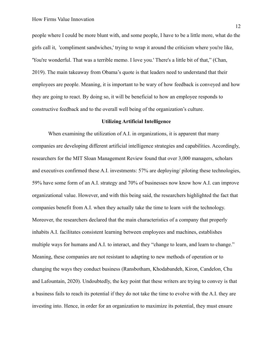people where I could be more blunt with, and some people, I have to be a little more, what do the girls call it, 'compliment sandwiches,' trying to wrap it around the criticism where you're like, 'You're wonderful. That was a terrible memo. I love you.' There's a little bit of that," (Chan, 2019). The main takeaway from Obama's quote is that leaders need to understand that their employees are people. Meaning, it is important to be wary of how feedback is conveyed and how they are going to react. By doing so, it will be beneficial to how an employee responds to constructive feedback and to the overall well being of the organization's culture.

### **Utilizing Artificial Intelligence**

When examining the utilization of A.I. in organizations, it is apparent that many companies are developing different artificial intelligence strategies and capabilities. Accordingly, researchers for the MIT Sloan Management Review found that over 3,000 managers, scholars and executives confirmed these A.I. investments: 57% are deploying/ piloting these technologies, 59% have some form of an A.I. strategy and 70% of businesses now know how A.I. can improve organizational value. However, and with this being said, the researchers highlighted the fact that companies benefit from A.I. when they actually take the time to learn *with* the technology. Moreover, the researchers declared that the main characteristics of a company that properly inhabits A.I. facilitates consistent learning between employees and machines, establishes multiple ways for humans and A.I. to interact, and they "change to learn, and learn to change." Meaning, these companies are not resistant to adapting to new methods of operation or to changing the ways they conduct business (Ransbotham, Khodabandeh, Kiron, Candelon, Chu and Lafountain, 2020). Undoubtedly, the key point that these writers are trying to convey is that a business fails to reach its potential if they do not take the time to evolve with the A.I. they are investing into. Hence, in order for an organization to maximize its potential, they must ensure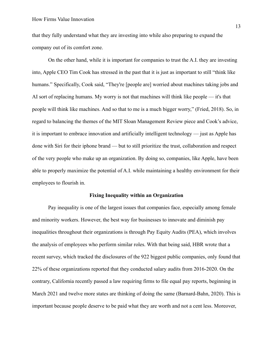that they fully understand what they are investing into while also preparing to expand the company out of its comfort zone.

On the other hand, while it is important for companies to trust the A.I. they are investing into, Apple CEO Tim Cook has stressed in the past that it is just as important to still "think like humans." Specifically, Cook said, "They're [people are] worried about machines taking jobs and AI sort of replacing humans. My worry is not that machines will think like people — it's that people will think like machines. And so that to me is a much bigger worry," (Fried, 2018). So, in regard to balancing the themes of the MIT Sloan Management Review piece and Cook's advice, it is important to embrace innovation and artificially intelligent technology — just as Apple has done with Siri for their iphone brand — but to still prioritize the trust, collaboration and respect of the very people who make up an organization. By doing so, companies, like Apple, have been able to properly maximize the potential of A.I. while maintaining a healthy environment for their employees to flourish in.

#### **Fixing Inequality within an Organization**

Pay inequality is one of the largest issues that companies face, especially among female and minority workers. However, the best way for businesses to innovate and diminish pay inequalities throughout their organizations is through Pay Equity Audits (PEA), which involves the analysis of employees who perform similar roles. With that being said, HBR wrote that a recent survey, which tracked the disclosures of the 922 biggest public companies, only found that 22% of these organizations reported that they conducted salary audits from 2016-2020. On the contrary, California recently passed a law requiring firms to file equal pay reports, beginning in March 2021 and twelve more states are thinking of doing the same (Barnard-Bahn, 2020). This is important because people deserve to be paid what they are worth and not a cent less. Moreover,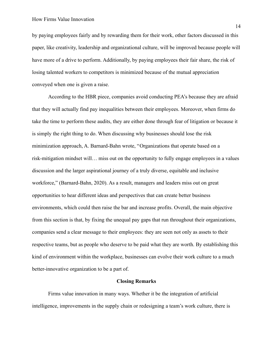by paying employees fairly and by rewarding them for their work, other factors discussed in this paper, like creativity, leadership and organizational culture, will be improved because people will have more of a drive to perform. Additionally, by paying employees their fair share, the risk of losing talented workers to competitors is minimized because of the mutual appreciation conveyed when one is given a raise.

According to the HBR piece, companies avoid conducting PEA's because they are afraid that they will actually find pay inequalities between their employees. Moreover, when firms do take the time to perform these audits, they are either done through fear of litigation or because it is simply the right thing to do. When discussing why businesses should lose the risk minimization approach, A. Barnard-Bahn wrote, "Organizations that operate based on a risk-mitigation mindset will… miss out on the opportunity to fully engage employees in a values discussion and the larger aspirational journey of a truly diverse, equitable and inclusive workforce," (Barnard-Bahn, 2020). As a result, managers and leaders miss out on great opportunities to hear different ideas and perspectives that can create better business environments, which could then raise the bar and increase profits. Overall, the main objective from this section is that, by fixing the unequal pay gaps that run throughout their organizations, companies send a clear message to their employees: they are seen not only as assets to their respective teams, but as people who deserve to be paid what they are worth. By establishing this kind of environment within the workplace, businesses can evolve their work culture to a much better-innovative organization to be a part of.

## **Closing Remarks**

Firms value innovation in many ways. Whether it be the integration of artificial intelligence, improvements in the supply chain or redesigning a team's work culture, there is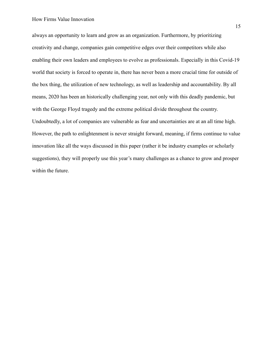always an opportunity to learn and grow as an organization. Furthermore, by prioritizing creativity and change, companies gain competitive edges over their competitors while also enabling their own leaders and employees to evolve as professionals. Especially in this Covid-19 world that society is forced to operate in, there has never been a more crucial time for outside of the box thing, the utilization of new technology, as well as leadership and accountability. By all means, 2020 has been an historically challenging year, not only with this deadly pandemic, but with the George Floyd tragedy and the extreme political divide throughout the country. Undoubtedly, a lot of companies are vulnerable as fear and uncertainties are at an all time high. However, the path to enlightenment is never straight forward, meaning, if firms continue to value innovation like all the ways discussed in this paper (rather it be industry examples or scholarly suggestions), they will properly use this year's many challenges as a chance to grow and prosper within the future.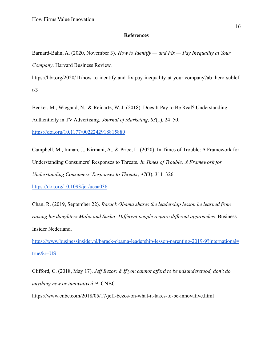# **References**

Barnard-Bahn, A. (2020, November 3). *How to Identify — and Fix — Pay Inequality at Your Company*. Harvard Business Review.

https://hbr.org/2020/11/how-to-identify-and-fix-pay-inequality-at-your-company?ab=hero-sublef t-3

Becker, M., Wiegand, N., & Reinartz, W. J. (2018). Does It Pay to Be Real? Understanding Authenticity in TV Advertising. *Journal of Marketing*, *83*(1), 24–50.

<https://doi.org/10.1177/0022242918815880>

Campbell, M., Inman, J., Kirmani, A., & Price, L. (2020). In Times of Trouble: A Framework for Understanding Consumers' Responses to Threats. *In Times of Trouble: A Framework for Understanding Consumers' Responses to Threats*, *47*(3), 311–326.

<https://doi.org/10.1093/jcr/ucaa036>

Chan, R. (2019, September 22). *Barack Obama shares the leadership lesson he learned from raising his daughters Malia and Sasha: Different people require different approaches*. Business Insider Nederland.

[https://www.businessinsider.nl/barack-obama-leadership-lesson-parenting-2019-9?international=](https://www.businessinsider.nl/barack-obama-leadership-lesson-parenting-2019-9?international=true&r=US) [true&r=US](https://www.businessinsider.nl/barack-obama-leadership-lesson-parenting-2019-9?international=true&r=US)

Clifford, C. (2018, May 17). *Jeff Bezos: âIf you cannot afford to be misunderstood, don't do anything new or innovativeâ*. CNBC.

https://www.cnbc.com/2018/05/17/jeff-bezos-on-what-it-takes-to-be-innovative.html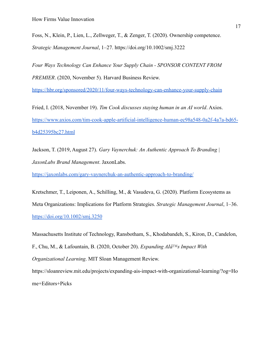Foss, N., Klein, P., Lien, L., Zellweger, T., & Zenger, T. (2020). Ownership competence. *Strategic Management Journal*, 1–27. https://doi.org/10.1002/smj.3222

*Four Ways Technology Can Enhance Your Supply Chain - SPONSOR CONTENT FROM PREMIER*. (2020, November 5). Harvard Business Review.

<https://hbr.org/sponsored/2020/11/four-ways-technology-can-enhance-your-supply-chain>

Fried, I. (2018, November 19). *Tim Cook discusses staying human in an AI world*. Axios. [https://www.axios.com/tim-cook-apple-artificial-intelligence-human-ec98a548-0a2f-4a7a-bd65](https://www.axios.com/tim-cook-apple-artificial-intelligence-human-ec98a548-0a2f-4a7a-bd65-b4d25395bc27.html) [b4d25395bc27.html](https://www.axios.com/tim-cook-apple-artificial-intelligence-human-ec98a548-0a2f-4a7a-bd65-b4d25395bc27.html)

Jackson, T. (2019, August 27). *Gary Vaynerchuk: An Authentic Approach To Branding | JaxonLabs Brand Management*. JaxonLabs.

<https://jaxonlabs.com/gary-vaynerchuk-an-authentic-approach-to-branding/>

Kretschmer, T., Leiponen, A., Schilling, M., & Vasudeva, G. (2020). Platform Ecosystems as Meta Organizations: Implications for Platform Strategies. *Strategic Management Journal*, 1–36. <https://doi.org/10.1002/smj.3250>

Massachusetts Institute of Technology, Ransbotham, S., Khodabandeh, S., Kiron, D., Candelon, F., Chu, M., & Lafountain, B. (2020, October 20). *Expanding AIâs Impact With Organizational Learning*. MIT Sloan Management Review. https://sloanreview.mit.edu/projects/expanding-ais-impact-with-organizational-learning/?og=Ho

me+Editors+Picks